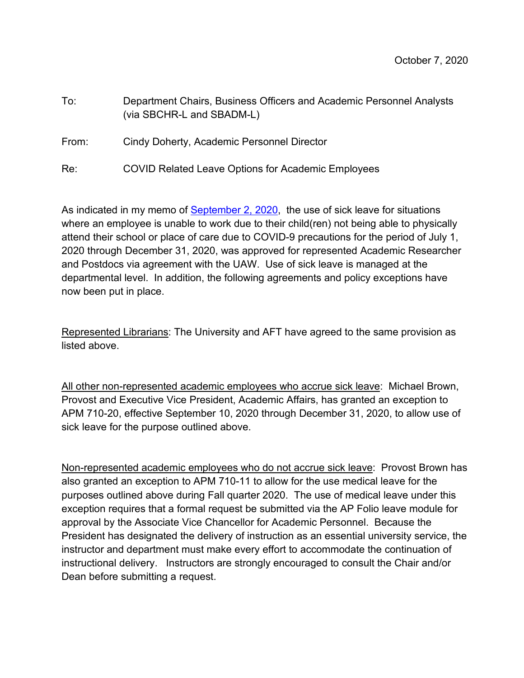| To:   | Department Chairs, Business Officers and Academic Personnel Analysts<br>(via SBCHR-L and SBADM-L) |
|-------|---------------------------------------------------------------------------------------------------|
| From: | Cindy Doherty, Academic Personnel Director                                                        |

Re: COVID Related Leave Options for Academic Employees

As indicated in my memo of [September 2, 2020,](https://ap.ucsb.edu/news.and.announcements/covid-19/2020-09-02_Updates_on_COVID-19_related_policies_exceptions_for_academic_employees.pdf) the use of sick leave for situations where an employee is unable to work due to their child(ren) not being able to physically attend their school or place of care due to COVID-9 precautions for the period of July 1, 2020 through December 31, 2020, was approved for represented Academic Researcher and Postdocs via agreement with the UAW. Use of sick leave is managed at the departmental level. In addition, the following agreements and policy exceptions have now been put in place.

Represented Librarians: The University and AFT have agreed to the same provision as listed above.

All other non-represented academic employees who accrue sick leave: Michael Brown, Provost and Executive Vice President, Academic Affairs, has granted an exception to APM 710-20, effective September 10, 2020 through December 31, 2020, to allow use of sick leave for the purpose outlined above.

Non-represented academic employees who do not accrue sick leave: Provost Brown has also granted an exception to APM 710-11 to allow for the use medical leave for the purposes outlined above during Fall quarter 2020. The use of medical leave under this exception requires that a formal request be submitted via the AP Folio leave module for approval by the Associate Vice Chancellor for Academic Personnel. Because the President has designated the delivery of instruction as an essential university service, the instructor and department must make every effort to accommodate the continuation of instructional delivery. Instructors are strongly encouraged to consult the Chair and/or Dean before submitting a request.